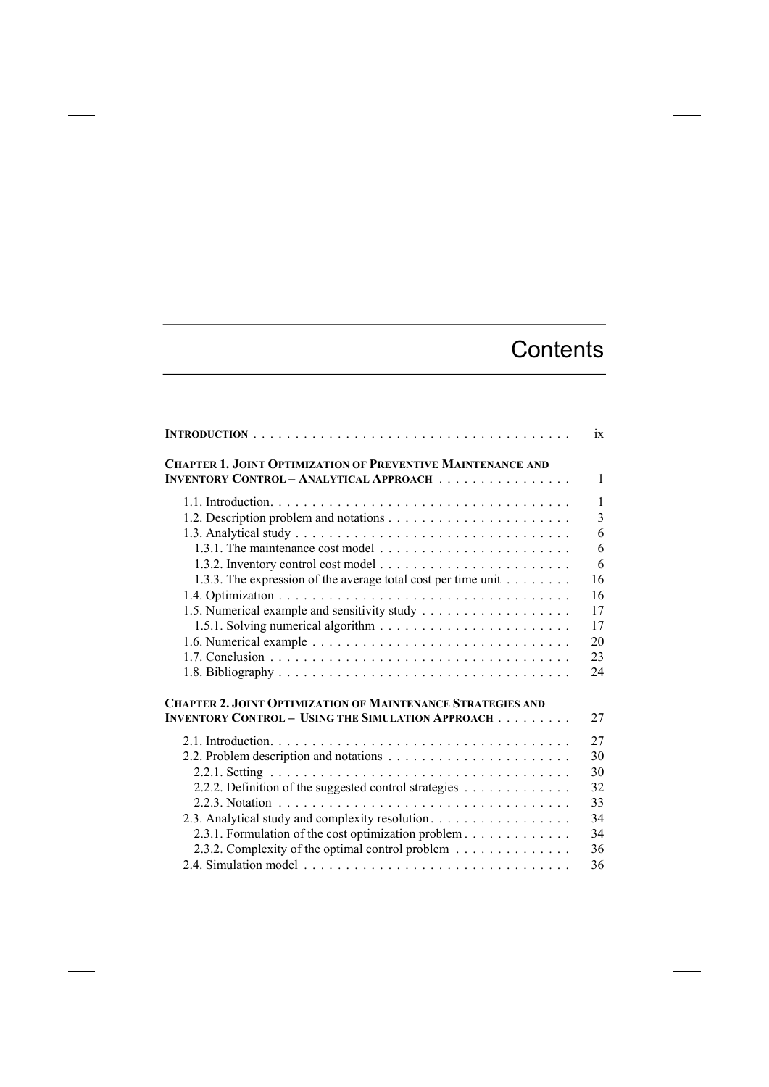## **Contents**

|                                                                    | ix           |
|--------------------------------------------------------------------|--------------|
| <b>CHAPTER 1. JOINT OPTIMIZATION OF PREVENTIVE MAINTENANCE AND</b> |              |
| <b>INVENTORY CONTROL - ANALYTICAL APPROACH</b>                     | $\mathbf{1}$ |
|                                                                    | $\mathbf{1}$ |
|                                                                    | 3            |
|                                                                    | 6            |
|                                                                    | 6            |
|                                                                    | 6            |
| 1.3.3. The expression of the average total cost per time unit      | 16           |
|                                                                    | 16           |
|                                                                    | 17           |
|                                                                    | 17           |
|                                                                    | 20           |
|                                                                    | 23           |
|                                                                    | 24           |
| <b>CHAPTER 2. JOINT OPTIMIZATION OF MAINTENANCE STRATEGIES AND</b> |              |
| <b>INVENTORY CONTROL - USING THE SIMULATION APPROACH</b>           | 27           |
|                                                                    | 27           |
|                                                                    | 30           |
|                                                                    | 30           |
| 2.2.2. Definition of the suggested control strategies              | 32           |
|                                                                    | 33           |
| 2.3. Analytical study and complexity resolution.                   | 34           |
| 2.3.1. Formulation of the cost optimization problem                | 34           |
| 2.3.2. Complexity of the optimal control problem                   | 36           |
|                                                                    | 36           |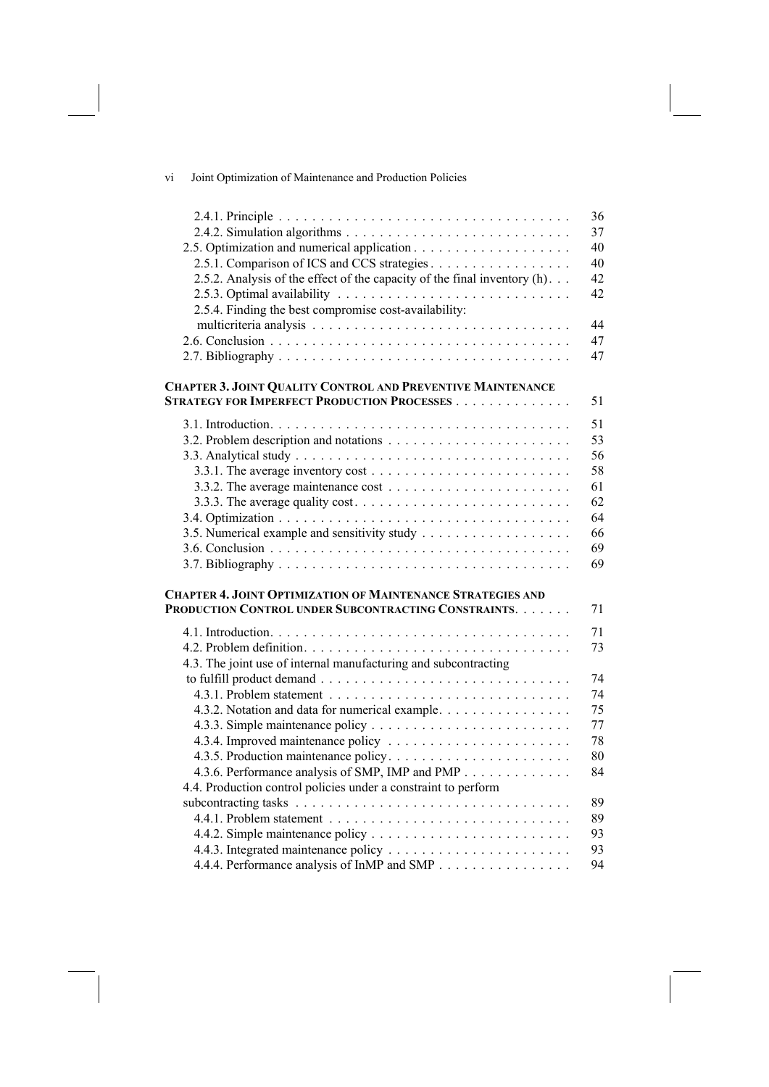| V1 |  | Joint Optimization of Maintenance and Production Policies |
|----|--|-----------------------------------------------------------|
|    |  |                                                           |

|                                                                                           | 36 |
|-------------------------------------------------------------------------------------------|----|
|                                                                                           | 37 |
|                                                                                           | 40 |
| 2.5.1. Comparison of ICS and CCS strategies                                               | 40 |
| 2.5.2. Analysis of the effect of the capacity of the final inventory (h).                 | 42 |
|                                                                                           | 42 |
| 2.5.4. Finding the best compromise cost-availability:                                     |    |
|                                                                                           | 44 |
|                                                                                           | 47 |
|                                                                                           | 47 |
| CHAPTER 3. JOINT QUALITY CONTROL AND PREVENTIVE MAINTENANCE                               |    |
| <b>STRATEGY FOR IMPERFECT PRODUCTION PROCESSES</b>                                        | 51 |
|                                                                                           | 51 |
|                                                                                           | 53 |
|                                                                                           | 56 |
| 3.3.1. The average inventory cost $\dots \dots \dots \dots \dots \dots \dots \dots \dots$ | 58 |
|                                                                                           | 61 |
|                                                                                           | 62 |
|                                                                                           | 64 |
|                                                                                           | 66 |
|                                                                                           | 69 |
|                                                                                           | 69 |
|                                                                                           |    |
| <b>CHAPTER 4. JOINT OPTIMIZATION OF MAINTENANCE STRATEGIES AND</b>                        |    |
| PRODUCTION CONTROL UNDER SUBCONTRACTING CONSTRAINTS.                                      | 71 |
|                                                                                           | 71 |
|                                                                                           | 73 |
| 4.3. The joint use of internal manufacturing and subcontracting                           |    |
|                                                                                           | 74 |
|                                                                                           | 74 |
| 4.3.2. Notation and data for numerical example.                                           | 75 |
|                                                                                           | 77 |
|                                                                                           | 78 |
|                                                                                           | 80 |
| 4.3.6. Performance analysis of SMP, IMP and PMP                                           | 84 |
| 4.4. Production control policies under a constraint to perform                            |    |
|                                                                                           | 89 |
|                                                                                           | 89 |
|                                                                                           | 93 |
|                                                                                           | 93 |
| 4.4.4. Performance analysis of InMP and SMP                                               | 94 |
|                                                                                           |    |